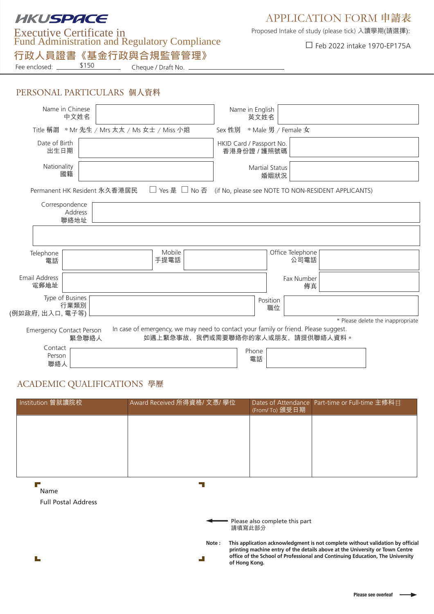# **HKUSPACE**

Fund Administration and Regulatory Compliance □ Feb 2022 intake 1970-EP175A Executive Certificate in

**⾏政⼈員證書《基⾦⾏政與合規監管管理》**

## APPLICATION FORM 申請表

Proposed Intake of study (please tick) 入讀學期(請選擇):

Fee enclosed: \_\_\_\_\_\_\_\_\_\_\_\_\_\_\_\_\_\_\_\_\_\_\_\_\_\_\_\_\_\_\_\_Cheque / Draft No.

|  | PERSONAL PARTICULARS 個人資料 |  |
|--|---------------------------|--|
|--|---------------------------|--|

| Name in Chinese                            | 中文姓名                         |                                                                                                                         | Name in English<br>英文姓名                  |                               |      |                                   |
|--------------------------------------------|------------------------------|-------------------------------------------------------------------------------------------------------------------------|------------------------------------------|-------------------------------|------|-----------------------------------|
|                                            |                              | Title 稱謂 * Mr 先生 / Mrs 太太 / Ms 女士 / Miss 小姐                                                                             | Sex 性別 * Male 男 / Female 女               |                               |      |                                   |
| Date of Birth<br>出生日期                      |                              |                                                                                                                         | HKID Card / Passport No.<br>香港身份證 / 護照號碼 |                               |      |                                   |
| Nationality<br>國籍                          |                              |                                                                                                                         |                                          | <b>Martial Status</b><br>婚姻狀況 |      |                                   |
|                                            | Permanent HK Resident 永久香港居民 | □ Yes 是 □ No 否 (if No, please see NOTE TO NON-RESIDENT APPLICANTS)                                                      |                                          |                               |      |                                   |
| Correspondence<br>聯絡地址                     | Address                      |                                                                                                                         |                                          |                               |      |                                   |
|                                            |                              |                                                                                                                         |                                          |                               |      |                                   |
| Telephone<br>電話                            |                              | Mobile<br>手提電話                                                                                                          |                                          | Office Telephone              | 公司電話 |                                   |
| Email Address<br>電郵地址                      |                              |                                                                                                                         |                                          | Fax Number                    | 傳真   |                                   |
| Type of Busines<br>行業類別<br>(例如政府,出入口, 電子等) |                              |                                                                                                                         |                                          | Position<br>職位                |      |                                   |
|                                            |                              |                                                                                                                         |                                          |                               |      | * Please delete the inappropriate |
| <b>Emergency Contact Person</b>            | 緊急聯絡人                        | In case of emergency, we may need to contact your family or friend. Please suggest.<br>如遇上緊急事故,我們或需要聯絡你的家人或朋友,請提供聯絡人資料。 |                                          |                               |      |                                   |
| Contact<br>Person<br>聯絡人                   |                              |                                                                                                                         | Phone<br>電話                              |                               |      |                                   |

## ACADEMIC QUALIFICATIONS 學歷

| Institution 曾就讀院校          | Award Received 所得資格/ 文憑/ 學位 | (From/ To) 頒受日期                          | Dates of Attendance Part-time or Full-time 主修科目                                                                                                                                                                                                 |
|----------------------------|-----------------------------|------------------------------------------|-------------------------------------------------------------------------------------------------------------------------------------------------------------------------------------------------------------------------------------------------|
|                            |                             |                                          |                                                                                                                                                                                                                                                 |
|                            |                             |                                          |                                                                                                                                                                                                                                                 |
|                            |                             |                                          |                                                                                                                                                                                                                                                 |
|                            |                             |                                          |                                                                                                                                                                                                                                                 |
| Name                       |                             |                                          |                                                                                                                                                                                                                                                 |
| <b>Full Postal Address</b> |                             |                                          |                                                                                                                                                                                                                                                 |
|                            |                             | Please also complete this part<br>請填寫此部分 |                                                                                                                                                                                                                                                 |
|                            | Note:                       | of Hong Kong.                            | This application acknowledgment is not complete without validation by official<br>printing machine entry of the details above at the University or Town Centre<br>office of the School of Professional and Continuing Education, The University |